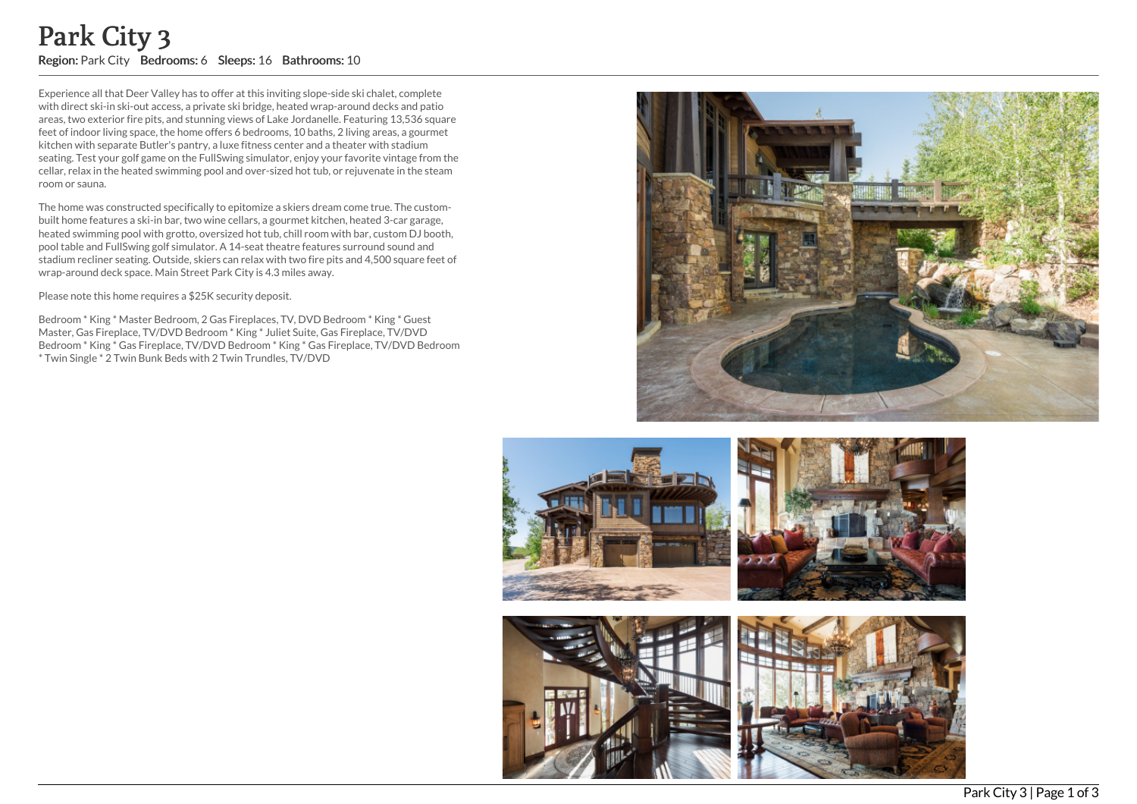## Park City 3 Region: Park City Bedrooms: 6 Sleeps: 16 Bathrooms: 10

Experience all that Deer Valley has to offer at this inviting slope-side ski chalet, complete with direct ski-in ski-out access, a private ski bridge, heated wrap-around decks and patio areas, two exterior fire pits, and stunning views of Lake Jordanelle. Featuring 13,536 square feet of indoor living space, the home offers 6 bedrooms, 10 baths, 2 living areas, a gourmet kitchen with separate Butler's pantry, a luxe fitness center and a theater with stadium seating. Test your golf game on the FullSwing simulator, enjoy your favorite vintage from the cellar, relax in the heated swimming pool and over-sized hot tub, or rejuvenate in the steam room or sauna.

The home was constructed specifically to epitomize a skiers dream come true. The custombuilt home features a ski-in bar, two wine cellars, a gourmet kitchen, heated 3-car garage, heated swimming pool with grotto, oversized hot tub, chill room with bar, custom DJ booth, pool table and FullSwing golf simulator. A 14-seat theatre features surround sound and stadium recliner seating. Outside, skiers can relax with two fire pits and 4,500 square feet of wrap-around deck space. Main Street Park City is 4.3 miles away.

Please note this home requires a \$25K security deposit.

Bedroom \* King \* Master Bedroom, 2 Gas Fireplaces, TV, DVD Bedroom \* King \* Guest Master, Gas Fireplace, TV/DVD Bedroom \* King \* Juliet Suite, Gas Fireplace, TV/DVD Bedroom \* King \* Gas Fireplace, TV/DVD Bedroom \* King \* Gas Fireplace, TV/DVD Bedroom \* Twin Single \* 2 Twin Bunk Beds with 2 Twin Trundles, TV/DVD



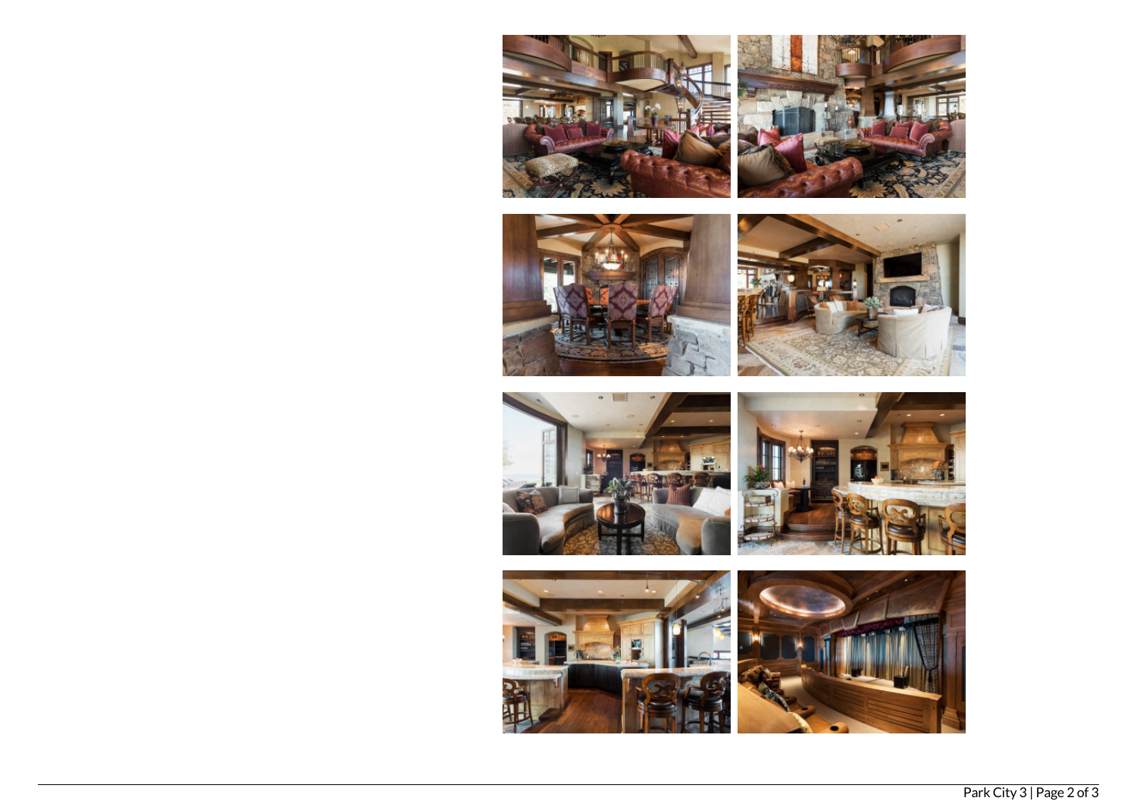